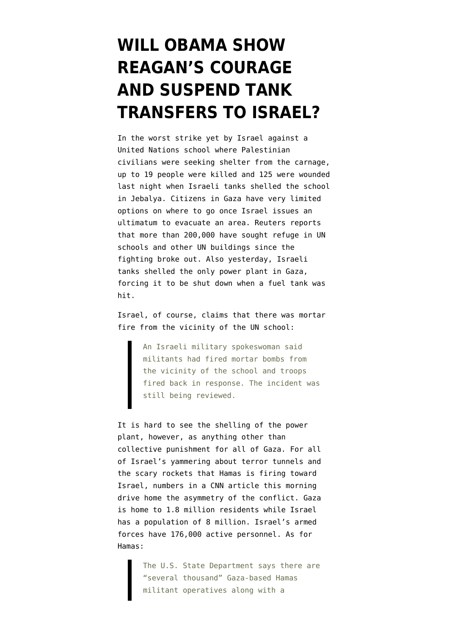## **[WILL OBAMA SHOW](https://www.emptywheel.net/2014/07/30/will-obama-show-reagans-courage-and-suspend-tank-transfers-to-israel/) [REAGAN'S COURAGE](https://www.emptywheel.net/2014/07/30/will-obama-show-reagans-courage-and-suspend-tank-transfers-to-israel/) [AND SUSPEND TANK](https://www.emptywheel.net/2014/07/30/will-obama-show-reagans-courage-and-suspend-tank-transfers-to-israel/) [TRANSFERS TO ISRAEL?](https://www.emptywheel.net/2014/07/30/will-obama-show-reagans-courage-and-suspend-tank-transfers-to-israel/)**

In the worst strike yet by Israel against a United Nations school where Palestinian civilians were seeking shelter from the carnage, [up to 19 people were killed and 125 were wounded](http://www.reuters.com/article/2014/07/30/us-mideast-gaza-idUSKBN0FV04A20140730) [last night when Israeli tanks shelled the school](http://www.reuters.com/article/2014/07/30/us-mideast-gaza-idUSKBN0FV04A20140730) [in Jebalya.](http://www.reuters.com/article/2014/07/30/us-mideast-gaza-idUSKBN0FV04A20140730) Citizens in Gaza have very limited options on where to go once Israel issues an ultimatum to evacuate an area. Reuters reports that more than 200,000 have sought refuge in UN schools and other UN buildings since the fighting broke out. Also yesterday, [Israeli](http://www.usatoday.com/story/news/world/2014/07/29/israel-gaza-hamas/13307595/) [tanks shelled the only power plant in Gaza](http://www.usatoday.com/story/news/world/2014/07/29/israel-gaza-hamas/13307595/), forcing it to be shut down when a fuel tank was hit.

Israel, of course, claims that there was mortar fire from the vicinity of the UN school:

> An Israeli military spokeswoman said militants had fired mortar bombs from the vicinity of the school and troops fired back in response. The incident was still being reviewed.

It is hard to see the shelling of the power plant, however, as anything other than collective punishment for all of Gaza. For all of Israel's yammering about terror tunnels and the scary rockets that Hamas is firing toward Israel, [numbers in a CNN article](http://www.cnn.com/2014/07/29/world/meast/gaza-conflict-numbers/index.html?hpt=hp_t1) this morning drive home the asymmetry of the conflict. Gaza is home to 1.8 million residents while Israel has a population of 8 million. Israel's armed forces have 176,000 active personnel. As for Hamas:

> The U.S. State Department says there are "several thousand" Gaza-based Hamas militant operatives along with a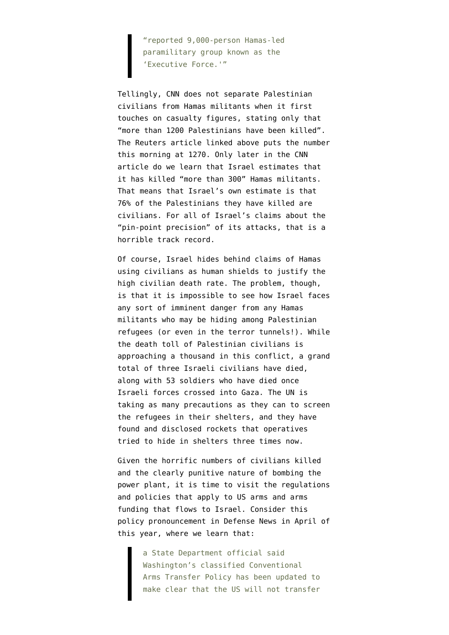"reported 9,000-person Hamas-led paramilitary group known as the 'Executive Force.'"

Tellingly, CNN does not separate Palestinian civilians from Hamas militants when it first touches on casualty figures, stating only that "more than 1200 Palestinians have been killed". The Reuters article linked above puts the number this morning at 1270. Only later in the CNN article do we learn that Israel estimates that it has killed "more than 300" Hamas militants. That means that Israel's own estimate is that 76% of the Palestinians they have killed are civilians. For all of Israel's claims about the "pin-point precision" of its attacks, that is a horrible track record.

Of course, Israel hides behind claims of Hamas using civilians as human shields to justify the high civilian death rate. The problem, though, is that it is impossible to see how Israel faces any sort of imminent danger from any Hamas militants who may be hiding among Palestinian refugees (or even in the terror tunnels!). While the death toll of Palestinian civilians is approaching a thousand in this conflict, a grand total of three Israeli civilians have died, along with 53 soldiers who have died once Israeli forces crossed into Gaza. The UN is taking as many precautions as they can to screen the refugees in their shelters, and they have found and disclosed rockets that operatives tried to hide in shelters three times now.

Given the horrific numbers of civilians killed and the clearly punitive nature of bombing the power plant, it is time to visit the regulations and policies that apply to US arms and arms funding that flows to Israel. Consider this policy pronouncement in [Defense News](http://www.defensenews.com/article/20140425/DEFREG02/304250024/Official-Human-Rights-Abuses-Now-Factor-US-Weapon-Export-Decisions) in April of this year, where we learn that:

> a State Department official said Washington's classified Conventional Arms Transfer Policy has been updated to make clear that the US will not transfer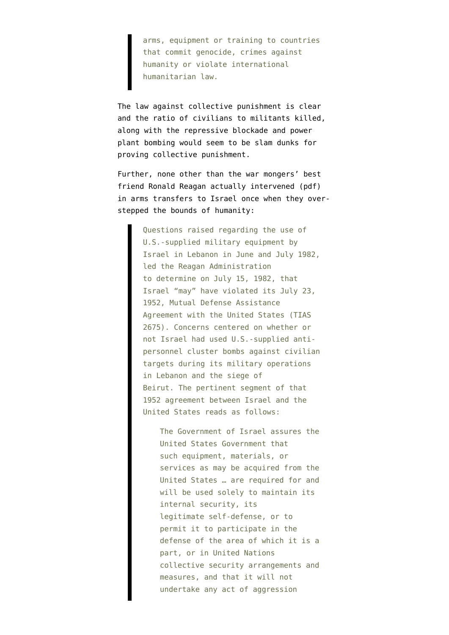arms, equipment or training to countries that commit genocide, crimes against humanity or violate international humanitarian law.

The law against collective punishment is clear and the ratio of civilians to militants killed, along with the repressive blockade and power plant bombing would seem to be slam dunks for proving collective punishment.

Further, none other than the war mongers' best friend [Ronald Reagan actually intervened](http://fas.org/sgp/crs/natsec/RL30982.pdf) (pdf) in arms transfers to Israel once when they overstepped the bounds of humanity:

> Questions raised regarding the use of U.S.-supplied military equipment by Israel in Lebanon in June and July 1982, led the Reagan Administration to determine on July 15, 1982, that Israel "may" have violated its July 23, 1952, Mutual Defense Assistance Agreement with the United States (TIAS 2675). Concerns centered on whether or not Israel had used U.S.-supplied antipersonnel cluster bombs against civilian targets during its military operations in Lebanon and the siege of Beirut. The pertinent segment of that 1952 agreement between Israel and the United States reads as follows:

The Government of Israel assures the United States Government that such equipment, materials, or services as may be acquired from the United States … are required for and will be used solely to maintain its internal security, its legitimate self-defense, or to permit it to participate in the defense of the area of which it is a part, or in United Nations collective security arrangements and measures, and that it will not undertake any act of aggression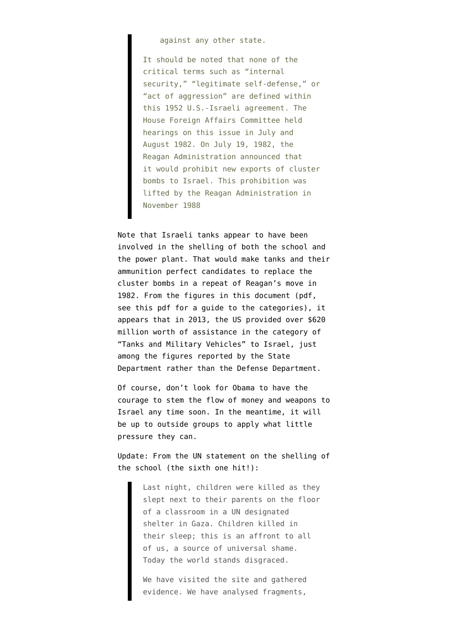## against any other state.

It should be noted that none of the critical terms such as "internal security," "legitimate self-defense," or "act of aggression" are defined within this 1952 U.S.-Israeli agreement. The House Foreign Affairs Committee held hearings on this issue in July and August 1982. On July 19, 1982, the Reagan Administration announced that it would prohibit new exports of cluster bombs to Israel. This prohibition was lifted by the Reagan Administration in November 1988

Note that Israeli tanks appear to have been involved in the shelling of both the school and the power plant. That would make tanks and their ammunition perfect candidates to replace the cluster bombs in a repeat of Reagan's move in 1982. From the figures in [this document](http://www.pmddtc.state.gov/reports/documents/rpt655_FY13.pdf) (pdf, see [this pdf](http://www.pmddtc.state.gov/reports/documents/rpt655_FY13-Intro.pdf) for a guide to the categories), it appears that in 2013, the US provided over \$620 million worth of assistance in the category of "Tanks and Military Vehicles" to Israel, just among the figures reported by the State Department rather than the Defense Department.

Of course, don't look for Obama to have the courage to stem the flow of money and weapons to Israel any time soon. In the meantime, it will be up to [outside groups](https://campaigns.amnesty.org/campaigns/us-stop-arming-israel) to apply what little pressure they can.

Update: From the [UN statement](http://www.unrwa.org/newsroom/official-statements/unrwa-strongly-condemns-israeli-shelling-its-school-gaza-serious#.U9j_P276xdE.twitter) on the shelling of the school (the sixth one hit!):

> Last night, children were killed as they slept next to their parents on the floor of a classroom in a UN designated shelter in Gaza. Children killed in their sleep; this is an affront to all of us, a source of universal shame. Today the world stands disgraced.

We have visited the site and gathered evidence. We have analysed fragments,